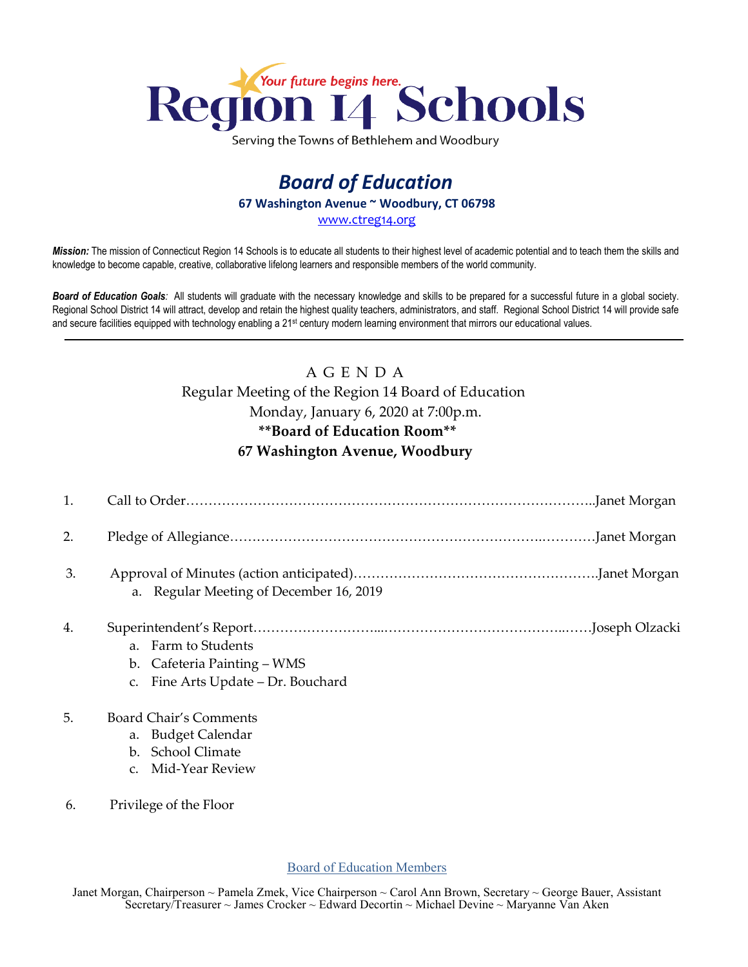

Serving the Towns of Bethlehem and Woodbury

## *Board of Education* **67 Washington Avenue ~ Woodbury, CT 06798** [www.ctreg14.org](http://www.ctreg14.org/)

*Mission:* The mission of Connecticut Region 14 Schools is to educate all students to their highest level of academic potential and to teach them the skills and knowledge to become capable, creative, collaborative lifelong learners and responsible members of the world community.

*Board of Education Goals:* All students will graduate with the necessary knowledge and skills to be prepared for a successful future in a global society. Regional School District 14 will attract, develop and retain the highest quality teachers, administrators, and staff. Regional School District 14 will provide safe and secure facilities equipped with technology enabling a 21<sup>st</sup> century modern learning environment that mirrors our educational values.

## A G E N D A Regular Meeting of the Region 14 Board of Education Monday, January 6, 2020 at 7:00p.m. **\*\*Board of Education Room\*\* 67 Washington Avenue, Woodbury**

| 1. |                                                                                                            |
|----|------------------------------------------------------------------------------------------------------------|
| 2. |                                                                                                            |
| 3. | a. Regular Meeting of December 16, 2019                                                                    |
| 4. | a. Farm to Students<br>b. Cafeteria Painting – WMS<br>Fine Arts Update - Dr. Bouchard                      |
| 5. | Board Chair's Comments<br>a. Budget Calendar<br><b>School Climate</b><br>$\mathbf{b}$ .<br>Mid-Year Review |
| 6. | Privilege of the Floor                                                                                     |

Board of Education Members

Janet Morgan, Chairperson ~ Pamela Zmek, Vice Chairperson ~ Carol Ann Brown, Secretary ~ George Bauer, Assistant Secretary/Treasurer ~ James Crocker ~ Edward Decortin ~ Michael Devine ~ Maryanne Van Aken